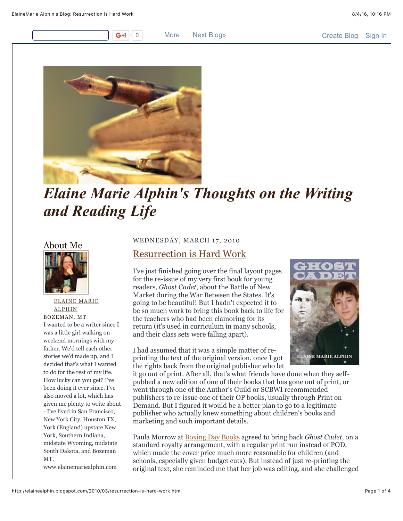0 More [Next Blog»](https://www.blogger.com/next-blog?navBar=true&blogID=6494350576833095591) [Create Blog](https://www.blogger.com/home#create) [Sign In](https://www.blogger.com/)



# *Elaine Marie Alphin's Thoughts on the Writing and Reading Life*

## About Me



[ELAINE MARIE](https://www.blogger.com/profile/12130116746072382940) ALPHIN BOZEMAN, MT I wanted to be a writer since I was a little girl walking on weekend mornings with my father. We'd tell each other stories we'd made up, and I decided that's what I wanted to do for the rest of my life. How lucky can you get? I've been doing it ever since. I've also moved a lot, which has given me plenty to write about - I've lived in San Francisco, New York City, Houston TX, York (England) upstate New York, Southern Indiana, midstate Wyoming, midstate South Dakota, and Bozeman MT.

www.elainemariealphin.com

#### WEDNESDAY, MARCH 17, 2010

## [Resurrection is Hard Work](http://elainealphin.blogspot.com/2010/03/resurrection-is-hard-work.html)

I've just finished going over the final layout pages for the re-issue of my very first book for young readers, *Ghost Cadet*, about the Battle of New Market during the War Between the States. It's going to be beautiful! But I hadn't expected it to be so much work to bring this book back to life for the teachers who had been clamoring for its return (it's used in curriculum in many schools, and their class sets were falling apart).

I had assumed that it was a simple matter of reprinting the text of the original version, once I got the rights back from the original publisher who let



it go out of print. After all, that's what friends have done when they selfpubbed a new edition of one of their books that has gone out of print, or went through one of the Author's Guild or SCBWI recommended publishers to re-issue one of their OP books, usually through Print on Demand. But I figured it would be a better plan to go to a legitimate publisher who actually knew something about children's books and marketing and such important details.

Paula Morrow at [Boxing Day Books](http://boxingdaybooks.com/BoxingDayBooks/Welcome.html) agreed to bring back *Ghost Cadet*, on a standard royalty arrangement, with a regular print run instead of POD, which made the cover price much more reasonable for children (and schools, especially given budget cuts). But instead of just re-printing the original text, she reminded me that her job was editing, and she challenged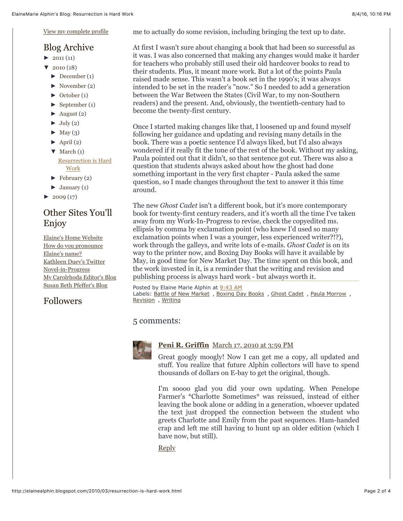[View my complete profile](https://www.blogger.com/profile/12130116746072382940)

### Blog Archive

- $\blacktriangleright$  [2011 \(](http://elainealphin.blogspot.com/search?updated-min=2011-01-01T00:00:00-07:00&updated-max=2012-01-01T00:00:00-07:00&max-results=11)11)
- $\blacktriangledown$  [2010 \(](http://elainealphin.blogspot.com/search?updated-min=2010-01-01T00:00:00-07:00&updated-max=2011-01-01T00:00:00-07:00&max-results=18)18)
	- $\blacktriangleright$  [December](http://elainealphin.blogspot.com/2010_12_01_archive.html) (1)
	- [►](javascript:void(0)) [November](http://elainealphin.blogspot.com/2010_11_01_archive.html) (2)
	- $\blacktriangleright$  [October \(](http://elainealphin.blogspot.com/2010_10_01_archive.html)1)
	- [►](javascript:void(0)) [September \(](http://elainealphin.blogspot.com/2010_09_01_archive.html)1)
	- $\blacktriangleright$  [August \(](http://elainealphin.blogspot.com/2010_08_01_archive.html)2)
	- $\blacktriangleright$  [July \(](http://elainealphin.blogspot.com/2010_07_01_archive.html)2)
	- $\blacktriangleright$  [May \(](http://elainealphin.blogspot.com/2010_05_01_archive.html)3)
	- $\blacktriangleright$  [April](http://elainealphin.blogspot.com/2010_04_01_archive.html) (2)
	- $\nabla$  [March \(](http://elainealphin.blogspot.com/2010_03_01_archive.html)1)
	- [Resurrection is Hard](http://elainealphin.blogspot.com/2010/03/resurrection-is-hard-work.html) Work
	- $\blacktriangleright$  [February \(](http://elainealphin.blogspot.com/2010_02_01_archive.html)2)
	- $\blacktriangleright$  [January](http://elainealphin.blogspot.com/2010_01_01_archive.html) (1)
- $\blacktriangleright$  [2009 \(](http://elainealphin.blogspot.com/search?updated-min=2009-01-01T00:00:00-07:00&updated-max=2010-01-01T00:00:00-07:00&max-results=17)17)

# Other Sites You'll Enjoy

[Elaine's Home Website](http://www.elainemariealphin.com/) [How do you pronounce](http://www.teachingbooks.net/pronounce.cgi?aid=2246) Elaine's name? [Kathleen Duey's Twitter](http://russet-one-wing.blogspot.com/) Novel-in-Progress [My Carolrhoda Editor's Blog](http://carolrhoda.blogspot.com/) [Susan Beth Pfeffer's Blog](http://susanbethpfeffer.blogspot.com/)

# Followers

me to actually do some revision, including bringing the text up to date.

At first I wasn't sure about changing a book that had been so successful as it was. I was also concerned that making any changes would make it harder for teachers who probably still used their old hardcover books to read to their students. Plus, it meant more work. But a lot of the points Paula raised made sense. This wasn't a book set in the 1990's; it was always intended to be set in the reader's "now." So I needed to add a generation between the War Between the States (Civil War, to my non-Southern readers) and the present. And, obviously, the twentieth-century had to become the twenty-first century.

Once I started making changes like that, I loosened up and found myself following her guidance and updating and revising many details in the book. There was a poetic sentence I'd always liked, but I'd also always wondered if it really fit the tone of the rest of the book. Without my asking, Paula pointed out that it didn't, so that sentence got cut. There was also a question that students always asked about how the ghost had done something important in the very first chapter - Paula asked the same question, so I made changes throughout the text to answer it this time around.

The new *Ghost Cadet* isn't a different book, but it's more contemporary book for twenty-first century readers, and it's worth all the time I've taken away from my Work-In-Progress to revise, check the copyedited ms. ellipsis by comma by exclamation point (who knew I'd used so many exclamation points when I was a younger, less experienced writer?!?), work through the galleys, and write lots of e-mails. *Ghost Cadet* is on its way to the printer now, and Boxing Day Books will have it available by May, in good time for New Market Day. The time spent on this book, and the work invested in it, is a reminder that the writing and revision and publishing process is always hard work - but always worth it.

Posted by Elaine Marie Alphin at [9:43 AM](http://elainealphin.blogspot.com/2010/03/resurrection-is-hard-work.html) Labels: [Battle of New Market](http://elainealphin.blogspot.com/search/label/Battle%20of%20New%20Market), [Boxing Day Books](http://elainealphin.blogspot.com/search/label/Boxing%20Day%20Books), [Ghost Cadet](http://elainealphin.blogspot.com/search/label/Ghost%20Cadet), [Paula Morrow](http://elainealphin.blogspot.com/search/label/Paula%20Morrow), [Revision](http://elainealphin.blogspot.com/search/label/Revision) , [Writing](http://elainealphin.blogspot.com/search/label/Writing)

#### 5 comments:



#### **[Peni R. Griffin](https://www.blogger.com/profile/01781761011389542245)** [March 17, 2010 at 3:59 PM](http://elainealphin.blogspot.com/2010/03/resurrection-is-hard-work.html?showComment=1268863155456#c9214515084868998380)

Great googly moogly! Now I can get me a copy, all updated and stuff. You realize that future Alphin collectors will have to spend thousands of dollars on E-bay to get the original, though.

I'm soooo glad you did your own updating. When Penelope Farmer's \*Charlotte Sometimes\* was reissued, instead of either leaving the book alone or adding in a generation, whoever updated the text just dropped the connection between the student who greets Charlotte and Emily from the past sequences. Ham-handed crap and left me still having to hunt up an older edition (which I have now, but still).

[Reply](javascript:;)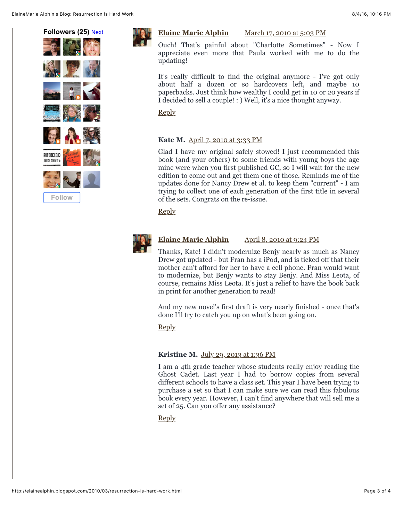ElaineMarie Alphin's Blog: Resurrection is Hard Work 8/4/16, 10:16 PM





#### **[Elaine Marie Alphin](https://www.blogger.com/profile/12130116746072382940)** [March 17, 2010 at 5:03 PM](http://elainealphin.blogspot.com/2010/03/resurrection-is-hard-work.html?showComment=1268867011301#c3452434704574994620)

Ouch! That's painful about "Charlotte Sometimes" - Now I appreciate even more that Paula worked with me to do the updating!

It's really difficult to find the original anymore - I've got only about half a dozen or so hardcovers left, and maybe 10 paperbacks. Just think how wealthy I could get in 10 or 20 years if I decided to sell a couple! : ) Well, it's a nice thought anyway.

[Reply](javascript:;)

#### **Kate M.** [April 7, 2010 at 3:33 PM](http://elainealphin.blogspot.com/2010/03/resurrection-is-hard-work.html?showComment=1270675989485#c7992316231076444743)

Glad I have my original safely stowed! I just recommended this book (and your others) to some friends with young boys the age mine were when you first published GC, so I will wait for the new edition to come out and get them one of those. Reminds me of the updates done for Nancy Drew et al. to keep them "current" - I am trying to collect one of each generation of the first title in several of the sets. Congrats on the re-issue.

[Reply](javascript:;)



#### **[Elaine Marie Alphin](https://www.blogger.com/profile/12130116746072382940)** [April 8, 2010 at 9:24 PM](http://elainealphin.blogspot.com/2010/03/resurrection-is-hard-work.html?showComment=1270783499117#c491278627934824949)

Thanks, Kate! I didn't modernize Benjy nearly as much as Nancy Drew got updated - but Fran has a iPod, and is ticked off that their mother can't afford for her to have a cell phone. Fran would want to modernize, but Benjy wants to stay Benjy. And Miss Leota, of course, remains Miss Leota. It's just a relief to have the book back in print for another generation to read!

And my new novel's first draft is very nearly finished - once that's done I'll try to catch you up on what's been going on.

[Reply](javascript:;)

#### **Kristine M.** [July 29, 2013 at 1:36 PM](http://elainealphin.blogspot.com/2010/03/resurrection-is-hard-work.html?showComment=1375126604981#c7308776777630893849)

I am a 4th grade teacher whose students really enjoy reading the Ghost Cadet. Last year I had to borrow copies from several different schools to have a class set. This year I have been trying to purchase a set so that I can make sure we can read this fabulous book every year. However, I can't find anywhere that will sell me a set of 25. Can you offer any assistance?

[Reply](javascript:;)